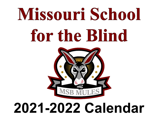# Missouri School for the Blind



#### **2021-2022 Calendar**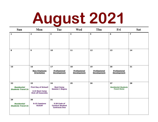# **August 2021**

| Sun                                                   | Mon                                                                             | <b>Tue</b>                                                           | <b>Wed</b>                                      | Thu                                             | Fri                                                     | <b>Sat</b>              |
|-------------------------------------------------------|---------------------------------------------------------------------------------|----------------------------------------------------------------------|-------------------------------------------------|-------------------------------------------------|---------------------------------------------------------|-------------------------|
| $\mathbf{1}$                                          | $\overline{2}$                                                                  | 3                                                                    | $\overline{\mathbf{4}}$                         | 5                                               | 6                                                       | $\overline{\mathbf{z}}$ |
| 8                                                     | $\mathbf{9}$                                                                    | 10                                                                   | 11                                              | 12                                              | 13                                                      | 14                      |
| 15                                                    | 16<br><b>New Employee</b><br><b>Orientation</b>                                 | 17<br><b>Professional</b><br><b>Development</b>                      | 18<br><b>Professional</b><br><b>Development</b> | 19<br><b>Professional</b><br><b>Development</b> | 20<br><b>Professional</b><br><b>Development</b>         | 21                      |
| 22<br><b>Residential</b><br><b>Students Travel In</b> | 23<br><b>First Day of School!</b><br>2:15 Boot Camp<br><b>Kick-off Assembly</b> | 24<br><b>Boot Camp</b><br><b>Session 1 Begins</b>                    | 25                                              | 26                                              | 27<br><b>Residential Students</b><br><b>Travel Home</b> | 28                      |
| 29<br><b>Residential</b><br><b>Students Travel In</b> | 30<br>9:15 Capstone<br><b>Kickoff</b>                                           | 31<br>3:30 Code of<br><b>Conduct Student</b><br><b>Contracts Due</b> |                                                 |                                                 |                                                         |                         |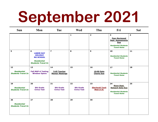# **September 2021**

| <b>Sun</b>                                            | Mon                                                                                                            | <b>Tue</b>                                   | <b>Wed</b>                                   | Thu                                         | Fri                                                                                                                      | <b>Sat</b> |
|-------------------------------------------------------|----------------------------------------------------------------------------------------------------------------|----------------------------------------------|----------------------------------------------|---------------------------------------------|--------------------------------------------------------------------------------------------------------------------------|------------|
|                                                       |                                                                                                                |                                              | $\mathbf{1}$                                 | $\overline{2}$                              | 3<br><b>Peer-Reviewed</b><br><b>Sept. Assessments</b><br><b>Due</b><br><b>Residential Students</b><br><b>Travel Home</b> | 4          |
| 5                                                     | 6<br><b>LABOR DAY</b><br><b>HOLIDAY</b><br><b>NO SCHOOL</b><br><b>Residential</b><br><b>Students Travel In</b> | $\overline{\mathbf{z}}$                      | 8                                            | 9                                           | 10<br><b>Residential Students</b><br><b>Travel Home</b>                                                                  | 11         |
| 12<br><b>Residential</b><br><b>Students Travel In</b> | 13<br><b>Fall MAP-A Testing</b><br><b>Window Opens</b>                                                         | 14<br>3:45 Teacher<br><b>Mentor Meetings</b> | 15                                           | 16<br>10:00 Data<br><b>Charts Due</b>       | 17<br><b>Residential Students</b><br><b>Travel Home</b>                                                                  | 18         |
| 19<br><b>Residential</b><br><b>Students Travel In</b> | 20<br><b>9th Grade</b><br><b>Civics Test</b>                                                                   | 21<br><b>9th Grade</b><br><b>Civics Test</b> | 22<br><b>9th Grade</b><br><b>Civics Test</b> | 23<br><b>Eberhardt Track</b><br>Meet @ Ill. | 24<br>Noon-Sept.<br><b>Reteach Data Due</b><br><b>Residential Students</b><br><b>Travel Home</b>                         | 25         |
| 26<br><b>Residential</b><br><b>Students Travel In</b> | 27                                                                                                             | 28                                           | 29                                           | 30                                          |                                                                                                                          |            |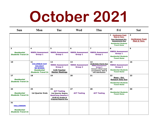### **October 2021**

| <b>Sun</b>                                                                | Mon                                                                                                                | <b>Tue</b>                                                                                                                             | <b>Wed</b>                                     | Thu                                                                                                                                                | Fri                                                                                                                                            | <b>Sat</b>                                              |
|---------------------------------------------------------------------------|--------------------------------------------------------------------------------------------------------------------|----------------------------------------------------------------------------------------------------------------------------------------|------------------------------------------------|----------------------------------------------------------------------------------------------------------------------------------------------------|------------------------------------------------------------------------------------------------------------------------------------------------|---------------------------------------------------------|
|                                                                           |                                                                                                                    |                                                                                                                                        |                                                |                                                                                                                                                    | 1 Conference Track<br>Meet @ Tenn.<br><b>Peer-Reviewed Oct.</b><br><b>Assessments Due</b><br><b>Residential Students</b><br><b>Travel Home</b> | $\mathbf{2}$<br><b>Conference Track</b><br>Meet @ Tenn. |
| 3<br><b>Residential</b><br><b>Students Travel In</b>                      | $\overline{\mathbf{4}}$<br><b>NWEA Assessment</b><br><b>Group 1</b>                                                | 5<br><b>NWEA Assessment</b><br><b>Group 1</b>                                                                                          | 6<br><b>NWEA Assessment</b><br><b>Group 1</b>  | $\overline{z}$<br><b>NWEA Assessment</b><br><b>Group 1</b>                                                                                         | 8<br><b>NWEA Assessment</b><br><b>Group 1</b><br><b>Residential Students</b><br><b>Travel Home</b>                                             | 9                                                       |
| 10                                                                        | 11<br><b>COLUMBUS DAY</b><br><b>HOLIDAY</b><br><b>NO SCHOOL</b><br><b>Residential</b><br><b>Students Travel In</b> | 12<br><b>NWEA Assessment</b><br><b>Group 2</b><br>3:45 Teacher<br><b>Mentor Meetings</b>                                               | 13<br><b>NWEA Assessment</b><br><b>Group 2</b> | 14<br>10:00 Data Charts Due<br><b>NWEA Assessment</b><br><b>Group 2</b><br><b>Annual critical need</b><br>occupations, data &<br>info distribution | 15<br><b>NWEA Assessment</b><br><b>Group 2</b><br><b>Residential Students</b><br><b>Travel Home</b>                                            | 16                                                      |
| 17<br><b>Residential</b><br><b>Students Travel In</b>                     | 18                                                                                                                 | 19                                                                                                                                     | 20                                             | 21                                                                                                                                                 | 22<br>Noon - Oct.<br><b>Reteach Data Due</b><br><b>Residential Students</b><br><b>Travel Home</b>                                              | 23                                                      |
| 24<br><b>Residential</b><br><b>Students Travel In</b>                     | 25<br><b>1st Quarter Ends</b>                                                                                      | 26<br><b>ACT Testing</b><br><b>2nd Quarter Begins</b><br><b>BootCamp Session 2</b><br>10:00 Q1 Grades &<br><b>Progress Reports Due</b> | 27<br><b>ACT Testing</b>                       | 28<br><b>ACT Testing</b>                                                                                                                           | 29<br><b>Residential Students</b><br><b>Travel Home</b>                                                                                        | 30                                                      |
| 31<br><b>HALLOWEEN</b><br><b>Residential</b><br><b>Students Travel In</b> |                                                                                                                    |                                                                                                                                        |                                                |                                                                                                                                                    |                                                                                                                                                |                                                         |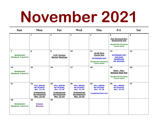### **November 2021**

| Sun                                                                        | Mon                                                                                                                         | <b>Tue</b>                                                                                                                  | <b>Wed</b>                                                                                                                  | Thu                                                                                                               | Fri                                                                                                           | <b>Sat</b> |
|----------------------------------------------------------------------------|-----------------------------------------------------------------------------------------------------------------------------|-----------------------------------------------------------------------------------------------------------------------------|-----------------------------------------------------------------------------------------------------------------------------|-------------------------------------------------------------------------------------------------------------------|---------------------------------------------------------------------------------------------------------------|------------|
|                                                                            | 1                                                                                                                           | $\overline{2}$                                                                                                              | 3                                                                                                                           | $\overline{\mathbf{4}}$                                                                                           | 5<br><b>Peer-Reviewed Nov.</b><br><b>Assessments Due</b><br><b>Residential Students</b><br><b>Travel Home</b> | 6          |
| $\overline{\mathbf{z}}$<br><b>Residential</b><br><b>Students Travel In</b> | 8                                                                                                                           | 9<br>3:45 Teacher<br><b>Mentor Meetings</b>                                                                                 | 10                                                                                                                          | 11<br>10:00 Data<br><b>Charts Due</b><br><b>VETERANS DAY</b><br><b>Residential Students</b><br><b>Travel Home</b> | 12<br><b>VETERANS DAY</b><br><b>HOLIDAY</b><br><b>OBSERVED</b><br><b>NO SCHOOL</b>                            | 13         |
| 14<br><b>Residential</b><br><b>Students Travel In</b>                      | 15                                                                                                                          | 16                                                                                                                          | 17                                                                                                                          | 18                                                                                                                | 19<br>Noon - Nov.<br><b>Reteach Data Due</b><br><b>Residential Students</b><br><b>Travel Home</b>             | 20         |
| 21                                                                         | 22<br><b>FALL BREAK</b><br><b>NO SCHOOL</b><br><b>Nov. 22-26</b><br><b>Professional</b><br><b>Development</b><br>Nov. 22-24 | 23<br><b>FALL BREAK</b><br><b>NO SCHOOL</b><br><b>Nov. 22-26</b><br><b>Professional</b><br><b>Development</b><br>Nov. 22-24 | 24<br><b>FALL BREAK</b><br><b>NO SCHOOL</b><br><b>Nov. 22-26</b><br><b>Professional</b><br><b>Development</b><br>Nov. 22-24 | 25<br><b>FALL BREAK</b><br><b>NO SCHOOL</b><br><b>Nov. 22-26</b><br><b>THANKSGIVING DAY</b>                       | 26<br><b>FALL BREAK</b><br><b>NO SCHOOL</b><br><b>Nov. 22-26</b>                                              | 27         |
| 28<br><b>Residential</b><br><b>Students Travel In</b>                      | 29<br><b>Classes</b><br><b>Resume</b>                                                                                       | 30                                                                                                                          |                                                                                                                             |                                                                                                                   |                                                                                                               |            |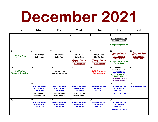### **December 2021**

| <b>Sun</b>                                            | Mon                                                                                                     | <b>Tue</b>                                                                                                     | <b>Wed</b>                                                                                                     | Thu                                                                                                         | Fri                                                                                                                                                                                                                | <b>Sat</b>                                                                               |
|-------------------------------------------------------|---------------------------------------------------------------------------------------------------------|----------------------------------------------------------------------------------------------------------------|----------------------------------------------------------------------------------------------------------------|-------------------------------------------------------------------------------------------------------------|--------------------------------------------------------------------------------------------------------------------------------------------------------------------------------------------------------------------|------------------------------------------------------------------------------------------|
|                                                       |                                                                                                         |                                                                                                                | 1                                                                                                              | $\overline{2}$                                                                                              | 3<br><b>Peer-Reviewed Dec.</b><br><b>Assessments Due</b><br><b>Residential Students</b><br><b>Travel Home</b>                                                                                                      | 4                                                                                        |
| 5<br><b>Residential</b><br><b>Students Travel In</b>  | 6<br><b>ESY Data</b><br><b>Collection</b>                                                               | $\overline{\mathbf{z}}$<br><b>ESY Data</b><br><b>Collection</b>                                                | 8<br><b>ESY Data</b><br><b>Collection</b><br>Missouri Jr. Beta<br><b>Club Convention</b><br>@ Sprinafield      | 9<br>10:00 Data<br><b>Charts Due</b><br><b>Missouri Jr. Beta</b><br><b>Club Convention</b><br>@ Springfield | 10<br><b>Missouri Sr. Beta</b><br><b>Club Convention</b><br>@ Springfield<br>(tentative)<br><b>Residential Students</b><br><b>Travel Home</b>                                                                      | 11<br><b>Missouri Sr. Beta</b><br><b>Club Convention</b><br>@ Springfield<br>(tentative) |
| 12<br><b>Residential</b><br><b>Students Travel In</b> | 13                                                                                                      | 14<br>3:45 Teacher<br><b>Mentor Meetings</b>                                                                   | 15                                                                                                             | 16<br>1:00 Christmas<br><b>Extravaganza</b>                                                                 | 17 <sub>2</sub><br>Noon - Dec.<br><b>Reteach Data Due</b><br><b>1PM DISMISSAL</b><br><b>FOR STUDENTS</b><br><b>Residential Students</b><br><b>Travel Home</b><br><b>Fall MAP-A Testing</b><br><b>Window Closes</b> | 18                                                                                       |
| 19                                                    | 20<br><b>WINTER BREAK</b><br><b>NO SCHOOL</b><br>Dec 20-31<br><b>Professional</b><br><b>Development</b> | 21<br><b>WINTER BREAK</b><br><b>NO SCHOOL</b><br><b>Dec 20-31</b><br><b>Professional</b><br><b>Development</b> | 22<br><b>WINTER BREAK</b><br><b>NO SCHOOL</b><br><b>Dec 20-31</b><br><b>Professional</b><br><b>Development</b> | 23<br><b>WINTER BREAK</b><br><b>NO SCHOOL</b><br>Dec 20-31                                                  | 24<br><b>WINTER BREAK</b><br><b>NO SCHOOL</b><br>Dec 20-31<br><b>CHRISTMAS EVE</b>                                                                                                                                 | 25<br><b>CHRISTMAS DAY</b>                                                               |
| 26                                                    | 27<br><b>WINTER BREAK</b><br><b>NO SCHOOL</b><br><b>Dec 20-31</b>                                       | 28<br><b>WINTER BREAK</b><br><b>NO SCHOOL</b><br><b>Dec 20-31</b>                                              | 29<br><b>WINTER BREAK</b><br><b>NO SCHOOL</b><br><b>Dec 20-31</b>                                              | 30<br><b>WINTER BREAK</b><br><b>NO SCHOOL</b><br><b>Dec 20-31</b>                                           | 31<br><b>WINTER BREAK</b><br><b>NO SCHOOL</b><br><b>Dec 20-31</b><br><b>NEW YEAR'S EVE</b>                                                                                                                         |                                                                                          |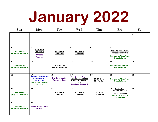# **January 2022**

| <b>Sun</b>                                                        | Mon                                                                                                                              | <b>Tue</b>                                    | <b>Wed</b>                                                                                                      | Thu                                        | Fri                                                                                                                          | <b>Sat</b>   |
|-------------------------------------------------------------------|----------------------------------------------------------------------------------------------------------------------------------|-----------------------------------------------|-----------------------------------------------------------------------------------------------------------------|--------------------------------------------|------------------------------------------------------------------------------------------------------------------------------|--------------|
|                                                                   |                                                                                                                                  |                                               |                                                                                                                 |                                            |                                                                                                                              | $\mathbf{1}$ |
| $\overline{2}$<br><b>Residential</b><br><b>Students Travel In</b> | 3<br><b>ESY Data</b><br><b>Collection</b><br><b>Classes</b><br><b>Resume</b>                                                     | 4<br><b>ESY Data</b><br><b>Collection</b>     | 5<br><b>ESY Data</b><br><b>Collection</b>                                                                       | 6                                          | $\overline{\mathbf{z}}$<br>Peer-Reviewed Jan.<br><b>Assessments Due</b><br><b>Residential Students</b><br><b>Travel Home</b> | 8            |
| 9<br><b>Residential</b><br><b>Students Travel In</b>              | 10                                                                                                                               | 11<br>3:45 Teacher<br><b>Mentor Meetings</b>  | 12                                                                                                              | 13                                         | 14<br><b>Residential Students</b><br><b>Travel Home</b>                                                                      | 15           |
| 16                                                                | 17<br><b>MARTIN LUTHER KING</b><br><b>JR. DAY HOLIDAY</b><br><b>NO SCHOOL</b><br><b>Residential Students</b><br><b>Travel In</b> | 18<br>2nd Quarter/1st<br><b>Semester Ends</b> | 19<br><b>3rd Quarter Begins</b><br>10:00 O2/S1 Grades<br>& Progress Reports<br>Due<br><b>BootCamp Session 3</b> | 20<br>10:00 Data<br><b>Charts Due</b>      | 21<br><b>Residential Students</b><br><b>Travel Home</b>                                                                      | 22           |
| 23<br><b>Residential</b><br><b>Students Travel In</b>             | 24                                                                                                                               | 25<br><b>ESY Data</b><br><b>Collection</b>    | 26<br><b>ESY Data</b><br><b>Collection</b>                                                                      | 27<br><b>ESY Data</b><br><b>Collection</b> | 28<br>Noon - Jan.<br><b>Reteach Data Due</b><br>3:30 ESY Data Due<br><b>Residential Students</b><br><b>Travel Home</b>       | 29           |
| 30<br><b>Residential</b><br><b>Students Travel In</b>             | 31<br><b>NWEA Assessment</b><br><b>Group 1</b>                                                                                   |                                               |                                                                                                                 |                                            |                                                                                                                              |              |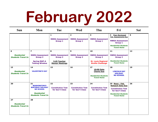# **February 2022**

| <b>Sun</b>                                            | Mon                                                                                                                         | <b>Tue</b>                                                                              | <b>Wed</b>                                                 | Thu                                                                                                     | Fri                                                                                                                                                                             | <b>Sat</b> |
|-------------------------------------------------------|-----------------------------------------------------------------------------------------------------------------------------|-----------------------------------------------------------------------------------------|------------------------------------------------------------|---------------------------------------------------------------------------------------------------------|---------------------------------------------------------------------------------------------------------------------------------------------------------------------------------|------------|
|                                                       |                                                                                                                             | $\mathbf{1}$<br><b>NWEA Assessment</b><br><b>Group 1</b>                                | $\overline{2}$<br><b>NWEA Assessment</b><br><b>Group 1</b> | 3<br><b>NWEA Assessment</b><br><b>Group 1</b>                                                           | $\overline{\mathbf{4}}$<br><b>Peer-Reviewed</b><br><b>Feb. Assessments Due</b><br><b>NWEA Assessment</b><br><b>Group 1</b><br><b>Residential Students</b><br><b>Travel Home</b> | 5          |
| 6<br><b>Residential</b><br><b>Students Travel In</b>  | $\overline{\mathbf{z}}$<br><b>NWEA Assessment</b><br><b>Group 2</b><br><b>Spring MAP-A</b><br><b>Testing Window</b>         | 8<br><b>NWEA Assessment</b><br><b>Group 2</b><br>3:45 Teacher<br><b>Mentor Meetings</b> | 9<br><b>NWEA Assessment</b><br><b>Group 2</b>              | 10<br><b>NWEA Assessment</b><br><b>Group 2</b><br><b>St. Louis Regional</b><br><b>Braille Challenge</b> | 11<br><b>NWEA Assessment</b><br><b>Group 2</b><br><b>Residential Students</b><br><b>Travel Home</b>                                                                             | 12         |
| 13<br><b>Residential</b><br><b>Students Travel In</b> | 14<br><b>VALENTINE'S DAY</b>                                                                                                | 15                                                                                      | 16                                                         | 17<br>10:00 Data<br><b>Charts Due</b><br><b>Residential Students</b><br><b>Travel Home</b>              | 18<br><b>LINCOLN DAY</b><br><b>HOLIDAY</b><br><b>NO SCHOOL</b>                                                                                                                  | 19         |
| 20                                                    | 21<br><b>WASHINGTON'S</b><br><b>BIRTHDAY HOLIDAY</b><br><b>NO SCHOOL</b><br><b>Residential</b><br><b>Students Travel In</b> | 22<br><b>Constitution Test</b><br>for Gov't Class                                       | 23<br><b>Constitution Test</b><br>for Gov't Class          | 24<br><b>Constitution Test</b><br>for Gov't Class                                                       | 25 Noon - Feb.<br><b>Reteach Data Due</b><br><b>Constitution Test</b><br>for Gov't Class<br><b>Residential Students</b><br><b>Travel Home</b>                                   | 26         |
| 27<br><b>Residential</b><br><b>Students Travel In</b> | 28                                                                                                                          |                                                                                         |                                                            |                                                                                                         |                                                                                                                                                                                 |            |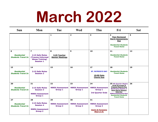### **March 2022**

| <b>Sun</b>                                            | Mon                                                                                                 | <b>Tue</b>                                     | <b>Wed</b>                                     | Thu                                                                                          | Fri                                                                                                                                                                                                                                | <b>Sat</b> |
|-------------------------------------------------------|-----------------------------------------------------------------------------------------------------|------------------------------------------------|------------------------------------------------|----------------------------------------------------------------------------------------------|------------------------------------------------------------------------------------------------------------------------------------------------------------------------------------------------------------------------------------|------------|
|                                                       |                                                                                                     | 1                                              | $\overline{2}$                                 | 3                                                                                            | 4<br><b>Peer-Reviewed</b><br><b>March Assessments</b><br><b>Due</b><br><b>Residential Students</b><br><b>Travel Home</b>                                                                                                           | 5          |
| 6<br><b>Residential</b><br><b>Students Travel In</b>  | $\overline{ }$<br>2:15 Safe Mules<br>(Trauma-Informed<br><b>Abuse Training)</b><br><b>Session 1</b> | 8<br>3:45 Teacher<br><b>Mentor Meetings</b>    | 9                                              | 10                                                                                           | 11<br><b>Residential Students</b><br><b>Travel Home</b>                                                                                                                                                                            | 12         |
| 13<br><b>Residential</b><br><b>Students Travel In</b> | 14<br>2:15 Safe Mules<br><b>Session 2</b>                                                           | 15                                             | 16                                             | 17<br><b>ST. PATRICK'S DAY</b><br>10:00 Data<br><b>Charts Due</b>                            | 18<br><b>Residential Students</b><br><b>Travel Home</b>                                                                                                                                                                            | 19         |
| 20<br><b>Residential</b><br><b>Students Travel In</b> | 21<br>2:15 Safe Mules<br><b>Session 3</b><br><b>NWEA Assessment</b><br><b>Group 1</b>               | 22<br><b>NWEA Assessment</b><br><b>Group 1</b> | 23<br><b>NWEA Assessment</b><br><b>Group 1</b> | 24<br><b>NWEA Assessment</b><br><b>Group 1</b><br><b>3rd Quarter Ends</b>                    | 25 4th Quarter Begins<br>10:00 Q3 Grades &<br><b>Progress Reports Due</b><br><b>BootCamp Session 4</b><br><b>Noon-March Reteach</b><br>Data Due<br><b>NWEA Assessment Gp1</b><br><b>Residential Students</b><br><b>Travel Home</b> | 26         |
| 27<br><b>Residential</b><br><b>Students Travel In</b> | 28<br>2:15 Safe Mules<br><b>Session 4</b><br><b>NWEA Assessment</b><br><b>Group 2</b>               | 29<br><b>NWEA Assessment</b><br><b>Group 2</b> | 30<br><b>NWEA Assessment</b><br><b>Group 2</b> | 31<br><b>NWEA Assessment</b><br><b>Group 2</b><br><b>Swim &amp; Forensics</b><br>Meet @ Ill. |                                                                                                                                                                                                                                    |            |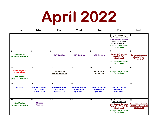# **April 2022**

| <b>Sun</b>                                                                                             | Mon                                                                 | <b>Tue</b>                                                          | <b>Wed</b>                                                          | Thu                                                                 | Fri                                                                                                                                                                                | <b>Sat</b>                                                                       |
|--------------------------------------------------------------------------------------------------------|---------------------------------------------------------------------|---------------------------------------------------------------------|---------------------------------------------------------------------|---------------------------------------------------------------------|------------------------------------------------------------------------------------------------------------------------------------------------------------------------------------|----------------------------------------------------------------------------------|
|                                                                                                        |                                                                     |                                                                     |                                                                     |                                                                     | 1 Peer-Reviewed<br><b>April Assessments Due</b><br><b>NWEA Assessment Gp2</b><br><b>Begin Scheduling</b><br>22-23 School Year<br><b>Residential Students</b><br><b>Travel Home</b> | $\overline{2}$                                                                   |
| 3<br><b>Residential</b><br><b>Students Travel In</b>                                                   | 4                                                                   | 5<br><b>ACT Testing</b>                                             | 6<br><b>ACT Testing</b>                                             | $\overline{\mathbf{z}}$<br><b>ACT Testing</b>                       | 8<br><b>Swim &amp; Forensics</b><br>Meet @ Ohio<br>(tentative)<br><b>Residential Students</b><br><b>Travel Home</b>                                                                | 9<br><b>Swim &amp; Forensics</b><br>Meet @ Ohio<br>(tentative)                   |
| 10<br><b>Lions Night &amp;</b><br><b>Open House</b><br><b>Residential</b><br><b>Students Travel In</b> | 11                                                                  | 12<br>3:45 Teacher<br><b>Mentor Meetings</b>                        | 13                                                                  | 14<br>10:00 Data<br><b>Charts Due</b>                               | 15<br><b>Residential Students</b><br><b>Travel Home</b>                                                                                                                            | 16                                                                               |
| 17<br><b>EASTER</b>                                                                                    | 18<br><b>SPRING BREAK</b><br><b>NO SCHOOL</b><br><b>April 18-22</b> | 19<br><b>SPRING BREAK</b><br><b>NO SCHOOL</b><br><b>April 18-22</b> | 20<br><b>SPRING BREAK</b><br><b>NO SCHOOL</b><br><b>April 18-22</b> | 21<br><b>SPRING BREAK</b><br><b>NO SCHOOL</b><br><b>April 18-22</b> | 22<br><b>SPRING BREAK</b><br><b>NO SCHOOL</b><br><b>April 18-22</b>                                                                                                                | 23                                                                               |
| 24<br><b>Residential</b><br><b>Students Travel In</b>                                                  | 25<br><b>Classes</b><br><b>Resume</b>                               | 26                                                                  | 27                                                                  | 28                                                                  | 29 Noon - April<br><b>Reteach Data Due</b><br><b>Conference Swim &amp;</b><br><b>Forensics Meet @ Ill</b><br>(tentative)<br><b>Residential Students</b><br><b>Travel Home</b>      | 30<br><b>Conference Swim &amp;</b><br><b>Forensics Meet @ Ill</b><br>(tentative) |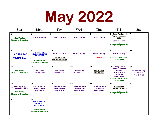# **May 2022**

| <b>Sun</b>                                                                                             | Mon                                                                                                                      | <b>Tue</b>                                                           | <b>Wed</b>                                                    | Thu                                                           | Fri                                                                                                                                                                       | <b>Sat</b>                                                    |
|--------------------------------------------------------------------------------------------------------|--------------------------------------------------------------------------------------------------------------------------|----------------------------------------------------------------------|---------------------------------------------------------------|---------------------------------------------------------------|---------------------------------------------------------------------------------------------------------------------------------------------------------------------------|---------------------------------------------------------------|
| $\mathbf 1$<br><b>Residential</b><br><b>Students Travel In</b>                                         | $\overline{\mathbf{2}}$<br><b>State Testing</b>                                                                          | 3<br><b>State Testing</b>                                            | 4<br><b>State Testing</b>                                     | 5<br><b>State Testing</b>                                     | 6 Peer-Reviewed<br><b>May Assessments</b><br><b>Due</b><br><b>State Testing</b><br><b>Residential Students</b><br><b>Travel Home</b>                                      | $\overline{\mathbf{z}}$                                       |
| 8<br><b>MOTHER'S DAY</b><br><b>TRUMAN DAY</b>                                                          | 9<br><b>TRUMAN DAY</b><br><b>HOLIDAY OBSERVED</b><br><b>NO SCHOOL</b><br><b>Residential</b><br><b>Students Travel In</b> | 10<br><b>State Testing</b><br>3:45 Teacher<br><b>Mentor Meetings</b> | 11<br><b>State Testing</b>                                    | 12<br><b>State Testing</b><br>Prom                            | 13<br><b>State Testing</b><br><b>Residential Students</b><br><b>Travel Home</b>                                                                                           | 14                                                            |
| 15<br><b>Residential</b><br><b>Students Travel In</b>                                                  | 16<br><b>9th Grade</b><br><b>Civics Test</b>                                                                             | 17<br><b>9th Grade</b><br><b>Civics Test</b>                         | 18<br><b>9th Grade</b><br><b>Civics Test</b>                  | 19<br>10:00 Data<br><b>Charts Due</b>                         | 20 Spring MAP-A<br><b>Testing Window</b><br><b>Closes</b><br><b>Capstone Trip</b><br>(Tentative)<br><b>May 20-26</b><br><b>Residential Students</b><br><b>Travel Home</b> | 21<br><b>Capstone Trip</b><br>(Tentative)<br><b>May 20-26</b> |
| 22<br><b>Capstone Trip</b><br>(Tentative) May 20-26<br><b>Residential</b><br><b>Students Travel In</b> | 23<br><b>Capstone Trip</b><br>(Tentative)<br><b>May 20-26</b>                                                            | 24<br><b>Capstone Trip</b><br>(Tentative)<br><b>May 20-26</b>        | 25<br><b>Capstone Trip</b><br>(Tentative)<br><b>May 20-26</b> | 26<br><b>Capstone Trip</b><br>(Tentative)<br><b>May 20-26</b> | 27<br>Noon - May<br><b>Reteach Data Due</b><br><b>Residential Students</b><br><b>Travel Home</b>                                                                          | 28                                                            |
| 29                                                                                                     | 30<br><b>MEMORIAL DAY</b><br><b>HOLIDAY</b><br><b>NO SCHOOL</b><br><b>Residential</b><br><b>Students Travel In</b>       | 31                                                                   |                                                               |                                                               |                                                                                                                                                                           |                                                               |